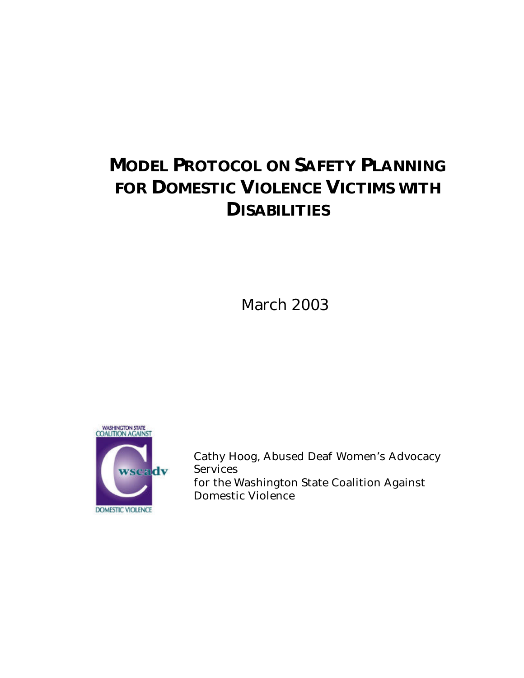# **MODEL PROTOCOL ON SAFETY PLANNING FOR DOMESTIC VIOLENCE VICTIMS WITH DISABILITIES**

March 2003



Cathy Hoog, Abused Deaf Women's Advocacy Services for the Washington State Coalition Against Domestic Violence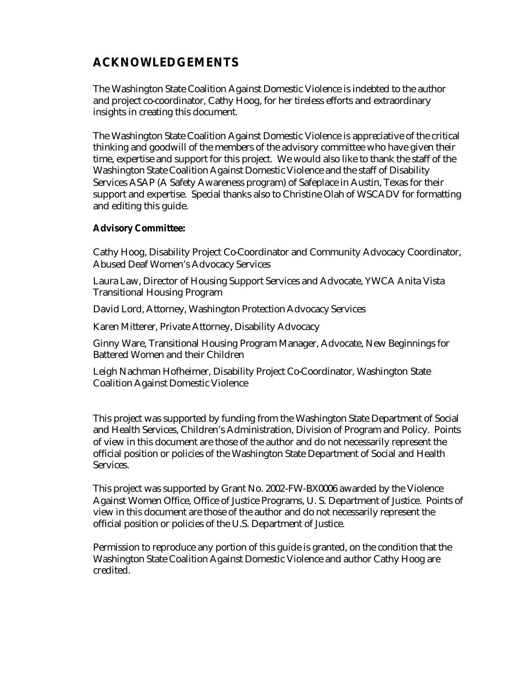### **ACKNOWLEDGEMENTS**

The Washington State Coalition Against Domestic Violence is indebted to the author and project co-coordinator, Cathy Hoog, for her tireless efforts and extraordinary insights in creating this document.

The Washington State Coalition Against Domestic Violence is appreciative of the critical thinking and goodwill of the members of the advisory committee who have given their time, expertise and support for this project. We would also like to thank the staff of the Washington State Coalition Against Domestic Violence and the staff of Disability Services ASAP (A Safety Awareness program) of Safeplace in Austin, Texas for their support and expertise. Special thanks also to Christine Olah of WSCADV for formatting and editing this guide.

#### **Advisory Committee:**

Cathy Hoog, Disability Project Co-Coordinator and Community Advocacy Coordinator, Abused Deaf Women's Advocacy Services

Laura Law, Director of Housing Support Services and Advocate, YWCA Anita Vista Transitional Housing Program

David Lord, Attorney, Washington Protection Advocacy Services

Karen Mitterer, Private Attorney, Disability Advocacy

Ginny Ware, Transitional Housing Program Manager, Advocate, New Beginnings for Battered Women and their Children

Leigh Nachman Hofheimer, Disability Project Co-Coordinator, Washington State Coalition Against Domestic Violence

This project was supported by funding from the Washington State Department of Social and Health Services, Children's Administration, Division of Program and Policy. Points of view in this document are those of the author and do not necessarily represent the official position or policies of the Washington State Department of Social and Health Services.

This project was supported by Grant No. 2002-FW-BX0006 awarded by the Violence Against Women Office, Office of Justice Programs, U. S. Department of Justice. Points of view in this document are those of the author and do not necessarily represent the official position or policies of the U.S. Department of Justice.

Permission to reproduce any portion of this guide is granted, on the condition that the Washington State Coalition Against Domestic Violence and author Cathy Hoog are credited.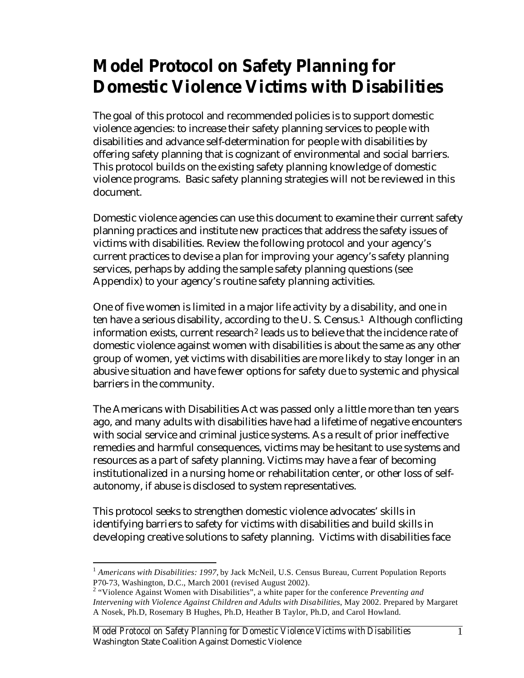# **Model Protocol on Safety Planning for Domestic Violence Victims with Disabilities**

The goal of this protocol and recommended policies is to support domestic violence agencies: to increase their safety planning services to people with disabilities and advance self-determination for people with disabilities by offering safety planning that is cognizant of environmental and social barriers. This protocol builds on the existing safety planning knowledge of domestic violence programs. Basic safety planning strategies will not be reviewed in this document.

Domestic violence agencies can use this document to examine their current safety planning practices and institute new practices that address the safety issues of victims with disabilities. Review the following protocol and your agency's current practices to devise a plan for improving your agency's safety planning services, perhaps by adding the sample safety planning questions (see Appendix) to your agency's routine safety planning activities.

One of five women is limited in a major life activity by a disability, and one in ten have a serious disability, according to the U.S. Census.<sup>1</sup> Although conflicting information exists, current research<sup>2</sup> leads us to believe that the incidence rate of domestic violence against women with disabilities is about the same as any other group of women, yet victims with disabilities are more likely to stay longer in an abusive situation and have fewer options for safety due to systemic and physical barriers in the community.

The Americans with Disabilities Act was passed only a little more than ten years ago, and many adults with disabilities have had a lifetime of negative encounters with social service and criminal justice systems. As a result of prior ineffective remedies and harmful consequences, victims may be hesitant to use systems and resources as a part of safety planning. Victims may have a fear of becoming institutionalized in a nursing home or rehabilitation center, or other loss of selfautonomy, if abuse is disclosed to system representatives.

This protocol seeks to strengthen domestic violence advocates' skills in identifying barriers to safety for victims with disabilities and build skills in developing creative solutions to safety planning. Victims with disabilities face

 $\overline{a}$ 

<sup>&</sup>lt;sup>1</sup> Americans with Disabilities: 1997, by Jack McNeil, U.S. Census Bureau, Current Population Reports P70-73, Washington, D.C., March 2001 (revised August 2002).

<sup>2</sup> "Violence Against Women with Disabilities", a white paper for the conference *Preventing and Intervening with Violence Against Children and Adults with Disabilities*, May 2002. Prepared by Margaret A Nosek, Ph.D, Rosemary B Hughes, Ph.D, Heather B Taylor, Ph.D, and Carol Howland.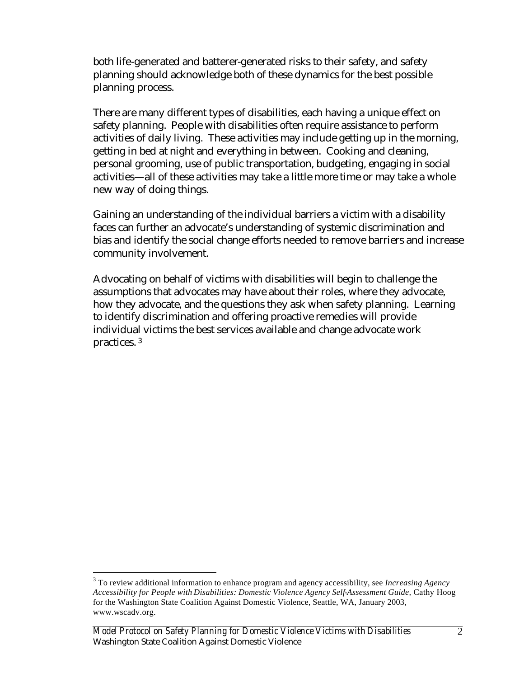both life-generated and batterer-generated risks to their safety, and safety planning should acknowledge both of these dynamics for the best possible planning process.

There are many different types of disabilities, each having a unique effect on safety planning. People with disabilities often require assistance to perform activities of daily living. These activities may include getting up in the morning, getting in bed at night and everything in between. Cooking and cleaning, personal grooming, use of public transportation, budgeting, engaging in social activities—all of these activities may take a little more time or may take a whole new way of doing things.

Gaining an understanding of the individual barriers a victim with a disability faces can further an advocate's understanding of systemic discrimination and bias and identify the social change efforts needed to remove barriers and increase community involvement.

Advocating on behalf of victims with disabilities will begin to challenge the assumptions that advocates may have about their roles, where they advocate, how they advocate, and the questions they ask when safety planning. Learning to identify discrimination and offering proactive remedies will provide individual victims the best services available and change advocate work practices. <sup>3</sup>

 $\overline{a}$ 

<sup>3</sup> To review additional information to enhance program and agency accessibility, see *Increasing Agency Accessibility for People with Disabilities: Domestic Violence Agency Self-Assessment Guide,* Cathy Hoog for the Washington State Coalition Against Domestic Violence, Seattle, WA, January 2003, www.wscadv.org.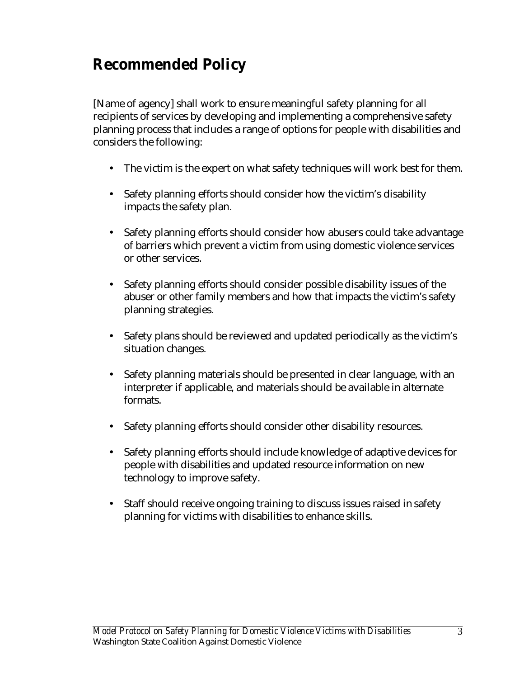## **Recommended Policy**

[Name of agency] shall work to ensure meaningful safety planning for all recipients of services by developing and implementing a comprehensive safety planning process that includes a range of options for people with disabilities and considers the following:

- The victim is the expert on what safety techniques will work best for them.
- Safety planning efforts should consider how the victim's disability impacts the safety plan.
- Safety planning efforts should consider how abusers could take advantage of barriers which prevent a victim from using domestic violence services or other services.
- Safety planning efforts should consider possible disability issues of the abuser or other family members and how that impacts the victim's safety planning strategies.
- Safety plans should be reviewed and updated periodically as the victim's situation changes.
- Safety planning materials should be presented in clear language, with an interpreter if applicable, and materials should be available in alternate formats.
- Safety planning efforts should consider other disability resources.
- Safety planning efforts should include knowledge of adaptive devices for people with disabilities and updated resource information on new technology to improve safety.
- Staff should receive ongoing training to discuss issues raised in safety planning for victims with disabilities to enhance skills.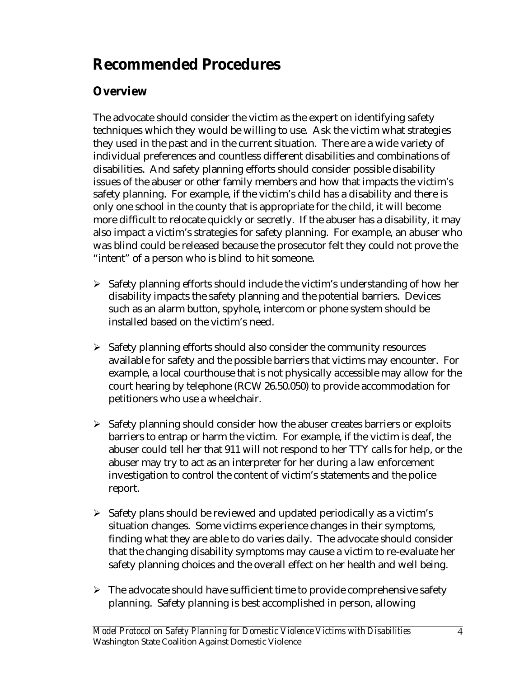## **Recommended Procedures**

## **Overview**

The advocate should consider the victim as the expert on identifying safety techniques which they would be willing to use. Ask the victim what strategies they used in the past and in the current situation. There are a wide variety of individual preferences and countless different disabilities and combinations of disabilities. And safety planning efforts should consider possible disability issues of the abuser or other family members and how that impacts the victim's safety planning. For example, if the victim's child has a disability and there is only one school in the county that is appropriate for the child, it will become more difficult to relocate quickly or secretly. If the abuser has a disability, it may also impact a victim's strategies for safety planning. For example, an abuser who was blind could be released because the prosecutor felt they could not prove the "intent" of a person who is blind to hit someone.

- $\triangleright$  Safety planning efforts should include the victim's understanding of how her disability impacts the safety planning and the potential barriers. Devices such as an alarm button, spyhole, intercom or phone system should be installed based on the victim's need.
- $\triangleright$  Safety planning efforts should also consider the community resources available for safety and the possible barriers that victims may encounter. For example, a local courthouse that is not physically accessible may allow for the court hearing by telephone (RCW 26.50.050) to provide accommodation for petitioners who use a wheelchair.
- $\triangleright$  Safety planning should consider how the abuser creates barriers or exploits barriers to entrap or harm the victim. For example, if the victim is deaf, the abuser could tell her that 911 will not respond to her TTY calls for help, or the abuser may try to act as an interpreter for her during a law enforcement investigation to control the content of victim's statements and the police report.
- $\triangleright$  Safety plans should be reviewed and updated periodically as a victim's situation changes. Some victims experience changes in their symptoms, finding what they are able to do varies daily. The advocate should consider that the changing disability symptoms may cause a victim to re-evaluate her safety planning choices and the overall effect on her health and well being.
- $\triangleright$  The advocate should have sufficient time to provide comprehensive safety planning. Safety planning is best accomplished in person, allowing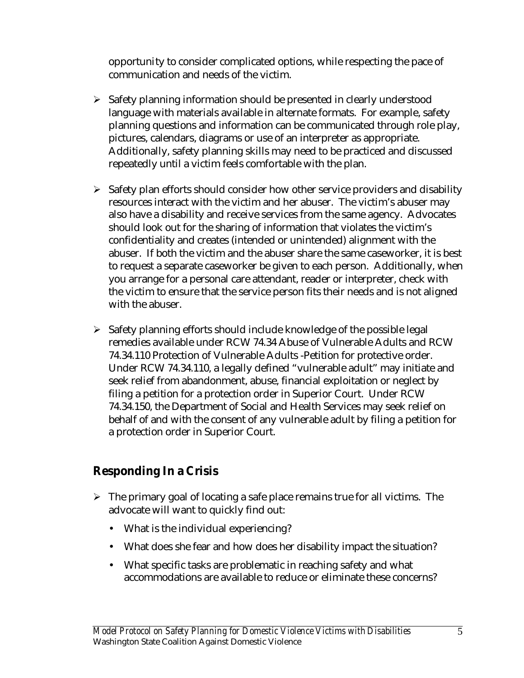opportunity to consider complicated options, while respecting the pace of communication and needs of the victim.

- > Safety planning information should be presented in clearly understood language with materials available in alternate formats. For example, safety planning questions and information can be communicated through role play, pictures, calendars, diagrams or use of an interpreter as appropriate. Additionally, safety planning skills may need to be practiced and discussed repeatedly until a victim feels comfortable with the plan.
- $\triangleright$  Safety plan efforts should consider how other service providers and disability resources interact with the victim and her abuser. The victim's abuser may also have a disability and receive services from the same agency. Advocates should look out for the sharing of information that violates the victim's confidentiality and creates (intended or unintended) alignment with the abuser. If both the victim and the abuser share the same caseworker, it is best to request a separate caseworker be given to each person. Additionally, when you arrange for a personal care attendant, reader or interpreter, check with the victim to ensure that the service person fits their needs and is not aligned with the abuser.
- $\triangleright$  Safety planning efforts should include knowledge of the possible legal remedies available under RCW 74.34 Abuse of Vulnerable Adults and RCW 74.34.110 Protection of Vulnerable Adults -Petition for protective order. Under RCW 74.34.110, a legally defined "vulnerable adult" may initiate and seek relief from abandonment, abuse, financial exploitation or neglect by filing a petition for a protection order in Superior Court. Under RCW 74.34.150, the Department of Social and Health Services may seek relief on behalf of and with the consent of any vulnerable adult by filing a petition for a protection order in Superior Court.

## **Responding In a Crisis**

- $\triangleright$  The primary goal of locating a safe place remains true for all victims. The advocate will want to quickly find out:
	- What is the individual experiencing?
	- What does she fear and how does her disability impact the situation?
	- What specific tasks are problematic in reaching safety and what accommodations are available to reduce or eliminate these concerns?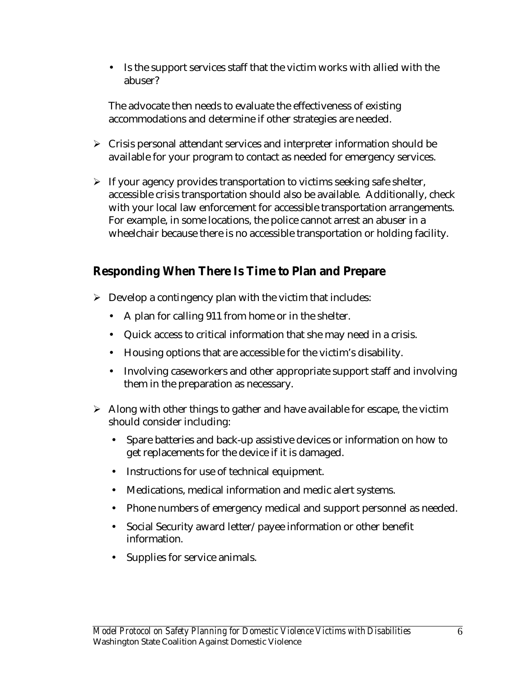• Is the support services staff that the victim works with allied with the abuser?

The advocate then needs to evaluate the effectiveness of existing accommodations and determine if other strategies are needed.

- $\triangleright$  Crisis personal attendant services and interpreter information should be available for your program to contact as needed for emergency services.
- $\triangleright$  If your agency provides transportation to victims seeking safe shelter, accessible crisis transportation should also be available. Additionally, check with your local law enforcement for accessible transportation arrangements. For example, in some locations, the police cannot arrest an abuser in a wheelchair because there is no accessible transportation or holding facility.

## **Responding When There Is Time to Plan and Prepare**

- $\triangleright$  Develop a contingency plan with the victim that includes:
	- A plan for calling 911 from home or in the shelter.
	- Quick access to critical information that she may need in a crisis.
	- Housing options that are accessible for the victim's disability.
	- Involving caseworkers and other appropriate support staff and involving them in the preparation as necessary.
- $\triangleright$  Along with other things to gather and have available for escape, the victim should consider including:
	- Spare batteries and back-up assistive devices or information on how to get replacements for the device if it is damaged.
	- Instructions for use of technical equipment.
	- Medications, medical information and medic alert systems.
	- Phone numbers of emergency medical and support personnel as needed.
	- Social Security award letter/payee information or other benefit information.
	- Supplies for service animals.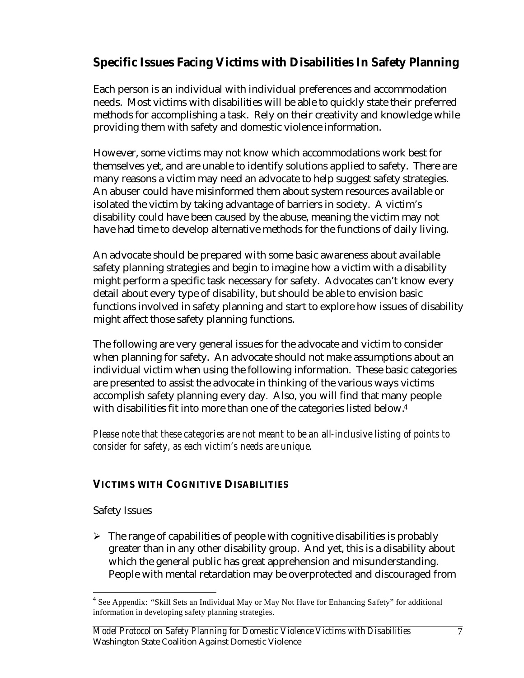## **Specific Issues Facing Victims with Disabilities In Safety Planning**

Each person is an individual with individual preferences and accommodation needs. Most victims with disabilities will be able to quickly state their preferred methods for accomplishing a task. Rely on their creativity and knowledge while providing them with safety and domestic violence information.

However, some victims may not know which accommodations work best for themselves yet, and are unable to identify solutions applied to safety. There are many reasons a victim may need an advocate to help suggest safety strategies. An abuser could have misinformed them about system resources available or isolated the victim by taking advantage of barriers in society. A victim's disability could have been caused by the abuse, meaning the victim may not have had time to develop alternative methods for the functions of daily living.

An advocate should be prepared with some basic awareness about available safety planning strategies and begin to imagine how a victim with a disability might perform a specific task necessary for safety. Advocates can't know every detail about every type of disability, but should be able to envision basic functions involved in safety planning and start to explore how issues of disability might affect those safety planning functions.

The following are very general issues for the advocate and victim to consider when planning for safety. An advocate should not make assumptions about an individual victim when using the following information. These basic categories are presented to assist the advocate in thinking of the various ways victims accomplish safety planning every day. Also, you will find that many people with disabilities fit into more than one of the categories listed below.<sup>4</sup>

*Please note that these categories are not meant to be an all-inclusive listing of points to consider for safety, as each victim's needs are unique.*

#### **VICTIMS WITH COGNITIVE DISABILITIES**

#### Safety Issues

 $\overline{a}$ 

 $\triangleright$  The range of capabilities of people with cognitive disabilities is probably greater than in any other disability group. And yet, this is a disability about which the general public has great apprehension and misunderstanding. People with mental retardation may be overprotected and discouraged from

<sup>&</sup>lt;sup>4</sup> See Appendix: "Skill Sets an Individual May or May Not Have for Enhancing Safety" for additional information in developing safety planning strategies.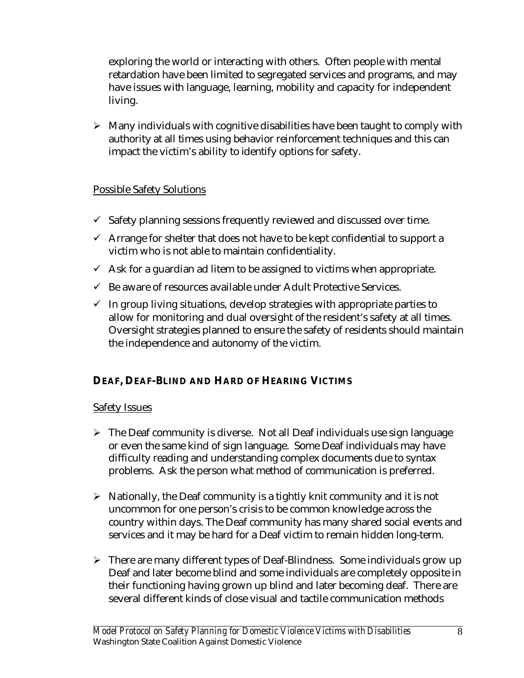exploring the world or interacting with others. Often people with mental retardation have been limited to segregated services and programs, and may have issues with language, learning, mobility and capacity for independent living.

 $\triangleright$  Many individuals with cognitive disabilities have been taught to comply with authority at all times using behavior reinforcement techniques and this can impact the victim's ability to identify options for safety.

#### Possible Safety Solutions

- $\checkmark$  Safety planning sessions frequently reviewed and discussed over time.
- $\checkmark$  Arrange for shelter that does not have to be kept confidential to support a victim who is not able to maintain confidentiality.
- $\checkmark$  Ask for a guardian ad litem to be assigned to victims when appropriate.
- $\checkmark$  Be aware of resources available under Adult Protective Services.
- $\checkmark$  In group living situations, develop strategies with appropriate parties to allow for monitoring and dual oversight of the resident's safety at all times. Oversight strategies planned to ensure the safety of residents should maintain the independence and autonomy of the victim.

#### **DEAF, DEAF-BLIND AND HARD OF HEARING VICTIMS**

#### Safety Issues

- $\triangleright$  The Deaf community is diverse. Not all Deaf individuals use sign language or even the same kind of sign language. Some Deaf individuals may have difficulty reading and understanding complex documents due to syntax problems. Ask the person what method of communication is preferred.
- $\triangleright$  Nationally, the Deaf community is a tightly knit community and it is not uncommon for one person's crisis to be common knowledge across the country within days. The Deaf community has many shared social events and services and it may be hard for a Deaf victim to remain hidden long-term.
- $\triangleright$  There are many different types of Deaf-Blindness. Some individuals grow up Deaf and later become blind and some individuals are completely opposite in their functioning having grown up blind and later becoming deaf. There are several different kinds of close visual and tactile communication methods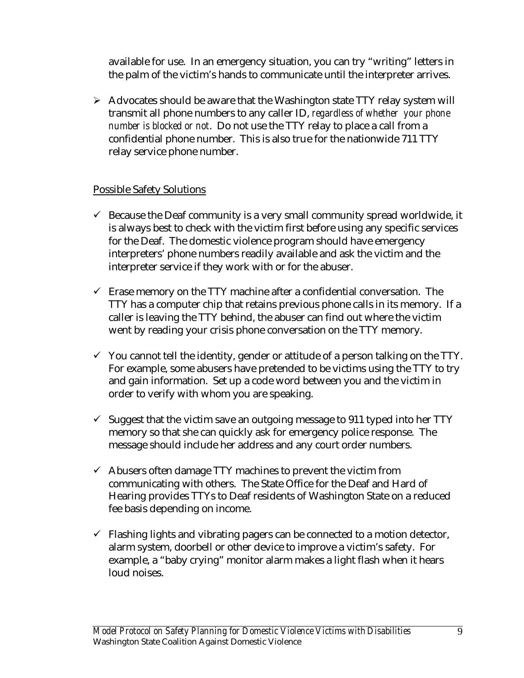available for use. In an emergency situation, you can try "writing" letters in the palm of the victim's hands to communicate until the interpreter arrives.

 $\triangleright$  Advocates should be aware that the Washington state TTY relay system will transmit all phone numbers to any caller ID, *regardless of whether your phone number is blocked or not*. Do not use the TTY relay to place a call from a confidential phone number. This is also true for the nationwide 711 TTY relay service phone number.

#### Possible Safety Solutions

- $\checkmark$  Because the Deaf community is a very small community spread worldwide, it is always best to check with the victim first before using any specific services for the Deaf. The domestic violence program should have emergency interpreters' phone numbers readily available and ask the victim and the interpreter service if they work with or for the abuser.
- $\checkmark$  Erase memory on the TTY machine after a confidential conversation. The TTY has a computer chip that retains previous phone calls in its memory. If a caller is leaving the TTY behind, the abuser can find out where the victim went by reading your crisis phone conversation on the TTY memory.
- $\checkmark$  You cannot tell the identity, gender or attitude of a person talking on the TTY. For example, some abusers have pretended to be victims using the TTY to try and gain information. Set up a code word between you and the victim in order to verify with whom you are speaking.
- $\checkmark$  Suggest that the victim save an outgoing message to 911 typed into her TTY memory so that she can quickly ask for emergency police response. The message should include her address and any court order numbers.
- $\checkmark$  Abusers often damage TTY machines to prevent the victim from communicating with others. The State Office for the Deaf and Hard of Hearing provides TTYs to Deaf residents of Washington State on a reduced fee basis depending on income.
- $\checkmark$  Flashing lights and vibrating pagers can be connected to a motion detector, alarm system, doorbell or other device to improve a victim's safety. For example, a "baby crying" monitor alarm makes a light flash when it hears loud noises.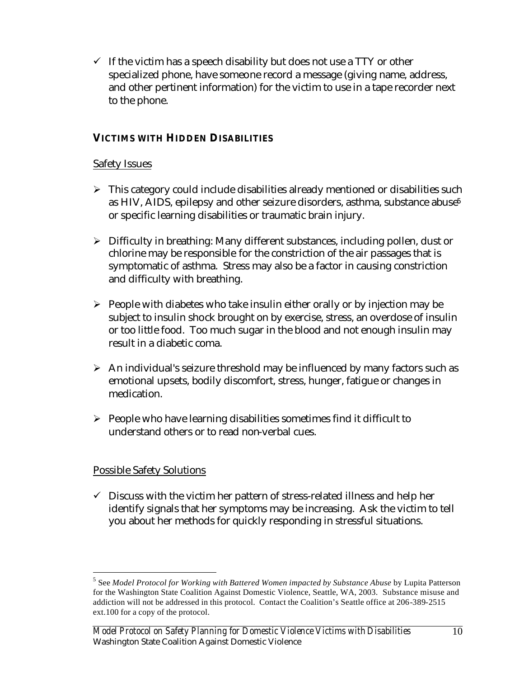$\checkmark$  If the victim has a speech disability but does not use a TTY or other specialized phone, have someone record a message (giving name, address, and other pertinent information) for the victim to use in a tape recorder next to the phone.

#### **VICTIMS WITH HIDDEN DISABILITIES**

#### Safety Issues

- $\triangleright$  This category could include disabilities already mentioned or disabilities such as HIV, AIDS, epilepsy and other seizure disorders, asthma, substance abuse<sup>5</sup> or specific learning disabilities or traumatic brain injury.
- $\triangleright$  Difficulty in breathing: Many different substances, including pollen, dust or chlorine may be responsible for the constriction of the air passages that is symptomatic of asthma. Stress may also be a factor in causing constriction and difficulty with breathing.
- $\triangleright$  People with diabetes who take insulin either orally or by injection may be subject to insulin shock brought on by exercise, stress, an overdose of insulin or too little food. Too much sugar in the blood and not enough insulin may result in a diabetic coma.
- $\triangleright$  An individual's seizure threshold may be influenced by many factors such as emotional upsets, bodily discomfort, stress, hunger, fatigue or changes in medication.
- $\triangleright$  People who have learning disabilities sometimes find it difficult to understand others or to read non-verbal cues.

#### Possible Safety Solutions

 $\overline{a}$ 

 $\checkmark$  Discuss with the victim her pattern of stress-related illness and help her identify signals that her symptoms may be increasing. Ask the victim to tell you about her methods for quickly responding in stressful situations.

<sup>5</sup> See *Model Protocol for Working with Battered Women impacted by Substance Abuse* by Lupita Patterson for the Washington State Coalition Against Domestic Violence, Seattle, WA, 2003. Substance misuse and addiction will not be addressed in this protocol. Contact the Coalition's Seattle office at 206-389-2515 ext.100 for a copy of the protocol.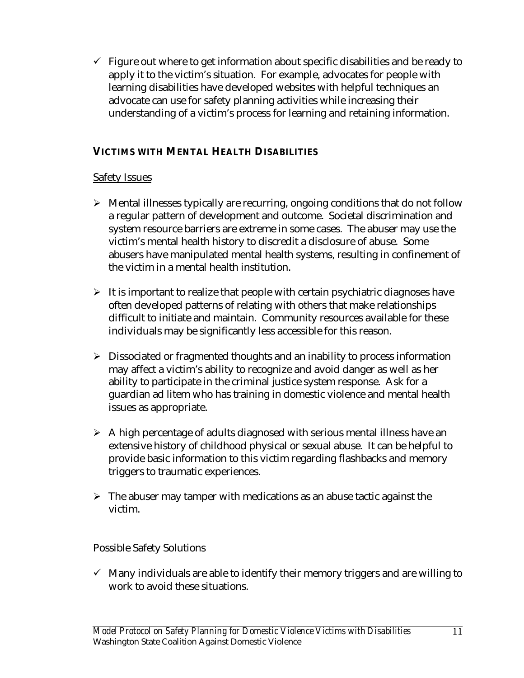$\checkmark$  Figure out where to get information about specific disabilities and be ready to apply it to the victim's situation. For example, advocates for people with learning disabilities have developed websites with helpful techniques an advocate can use for safety planning activities while increasing their understanding of a victim's process for learning and retaining information.

#### **VICTIMS WITH MENTAL HEALTH DISABILITIES**

#### Safety Issues

- $\triangleright$  Mental illnesses typically are recurring, ongoing conditions that do not follow a regular pattern of development and outcome. Societal discrimination and system resource barriers are extreme in some cases. The abuser may use the victim's mental health history to discredit a disclosure of abuse. Some abusers have manipulated mental health systems, resulting in confinement of the victim in a mental health institution.
- $\triangleright$  It is important to realize that people with certain psychiatric diagnoses have often developed patterns of relating with others that make relationships difficult to initiate and maintain. Community resources available for these individuals may be significantly less accessible for this reason.
- $\triangleright$  Dissociated or fragmented thoughts and an inability to process information may affect a victim's ability to recognize and avoid danger as well as her ability to participate in the criminal justice system response. Ask for a guardian ad litem who has training in domestic violence and mental health issues as appropriate.
- $\triangleright$  A high percentage of adults diagnosed with serious mental illness have an extensive history of childhood physical or sexual abuse. It can be helpful to provide basic information to this victim regarding flashbacks and memory triggers to traumatic experiences.
- $\triangleright$  The abuser may tamper with medications as an abuse tactic against the victim.

#### Possible Safety Solutions

 $\checkmark$  Many individuals are able to identify their memory triggers and are willing to work to avoid these situations.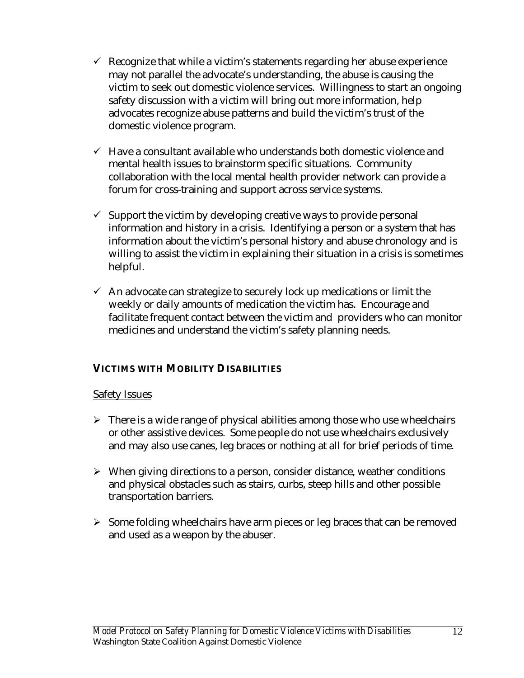- $\checkmark$  Recognize that while a victim's statements regarding her abuse experience may not parallel the advocate's understanding, the abuse is causing the victim to seek out domestic violence services. Willingness to start an ongoing safety discussion with a victim will bring out more information, help advocates recognize abuse patterns and build the victim's trust of the domestic violence program.
- $\checkmark$  Have a consultant available who understands both domestic violence and mental health issues to brainstorm specific situations. Community collaboration with the local mental health provider network can provide a forum for cross-training and support across service systems.
- $\checkmark$  Support the victim by developing creative ways to provide personal information and history in a crisis. Identifying a person or a system that has information about the victim's personal history and abuse chronology and is willing to assist the victim in explaining their situation in a crisis is sometimes helpful.
- $\checkmark$  An advocate can strategize to securely lock up medications or limit the weekly or daily amounts of medication the victim has. Encourage and facilitate frequent contact between the victim and providers who can monitor medicines and understand the victim's safety planning needs.

#### **VICTIMS WITH MOBILITY DISABILITIES**

#### Safety Issues

- $\triangleright$  There is a wide range of physical abilities among those who use wheelchairs or other assistive devices. Some people do not use wheelchairs exclusively and may also use canes, leg braces or nothing at all for brief periods of time.
- $\triangleright$  When giving directions to a person, consider distance, weather conditions and physical obstacles such as stairs, curbs, steep hills and other possible transportation barriers.
- $\triangleright$  Some folding wheelchairs have arm pieces or leg braces that can be removed and used as a weapon by the abuser.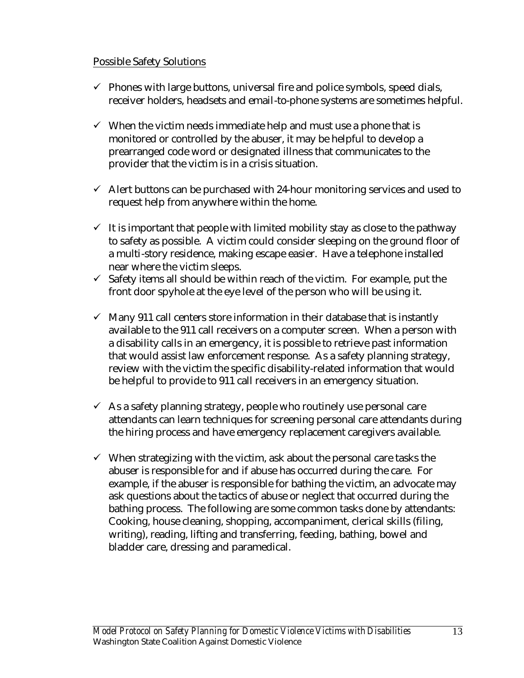#### Possible Safety Solutions

- $\checkmark$  Phones with large buttons, universal fire and police symbols, speed dials, receiver holders, headsets and email-to-phone systems are sometimes helpful.
- $\checkmark$  When the victim needs immediate help and must use a phone that is monitored or controlled by the abuser, it may be helpful to develop a prearranged code word or designated illness that communicates to the provider that the victim is in a crisis situation.
- $\checkmark$  Alert buttons can be purchased with 24-hour monitoring services and used to request help from anywhere within the home.
- $\checkmark$  It is important that people with limited mobility stay as close to the pathway to safety as possible. A victim could consider sleeping on the ground floor of a multi-story residence, making escape easier. Have a telephone installed near where the victim sleeps.
- $\checkmark$  Safety items all should be within reach of the victim. For example, put the front door spyhole at the eye level of the person who will be using it.
- $\checkmark$  Many 911 call centers store information in their database that is instantly available to the 911 call receivers on a computer screen. When a person with a disability calls in an emergency, it is possible to retrieve past information that would assist law enforcement response. As a safety planning strategy, review with the victim the specific disability-related information that would be helpful to provide to 911 call receivers in an emergency situation.
- $\checkmark$  As a safety planning strategy, people who routinely use personal care attendants can learn techniques for screening personal care attendants during the hiring process and have emergency replacement caregivers available.
- $\checkmark$  When strategizing with the victim, ask about the personal care tasks the abuser is responsible for and if abuse has occurred during the care. For example, if the abuser is responsible for bathing the victim, an advocate may ask questions about the tactics of abuse or neglect that occurred during the bathing process. The following are some common tasks done by attendants: Cooking, house cleaning, shopping, accompaniment, clerical skills (filing, writing), reading, lifting and transferring, feeding, bathing, bowel and bladder care, dressing and paramedical.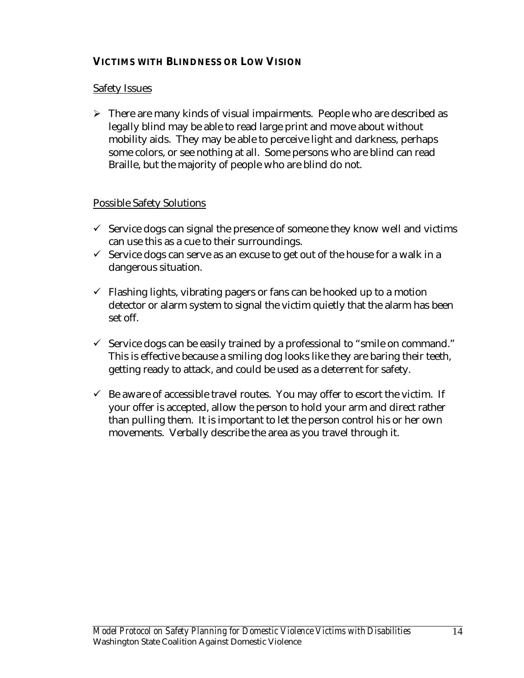#### **VICTIMS WITH BLINDNESS OR LOW VISION**

#### Safety Issues

 $\triangleright$  There are many kinds of visual impairments. People who are described as legally blind may be able to read large print and move about without mobility aids. They may be able to perceive light and darkness, perhaps some colors, or see nothing at all. Some persons who are blind can read Braille, but the majority of people who are blind do not.

#### Possible Safety Solutions

- $\checkmark$  Service dogs can signal the presence of someone they know well and victims can use this as a cue to their surroundings.
- $\checkmark$  Service dogs can serve as an excuse to get out of the house for a walk in a dangerous situation.
- $\checkmark$  Flashing lights, vibrating pagers or fans can be hooked up to a motion detector or alarm system to signal the victim quietly that the alarm has been set off.
- $\checkmark$  Service dogs can be easily trained by a professional to "smile on command." This is effective because a smiling dog looks like they are baring their teeth, getting ready to attack, and could be used as a deterrent for safety.
- $\checkmark$  Be aware of accessible travel routes. You may offer to escort the victim. If your offer is accepted, allow the person to hold your arm and direct rather than pulling them. It is important to let the person control his or her own movements. Verbally describe the area as you travel through it.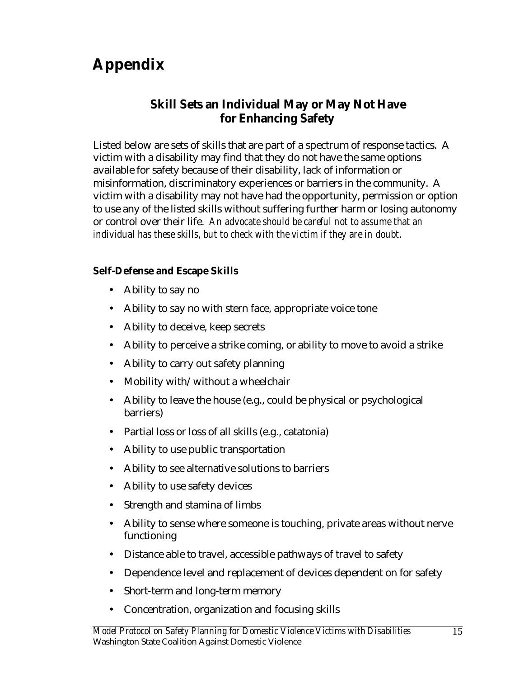# **Appendix**

### **Skill Sets an Individual May or May Not Have for Enhancing Safety**

Listed below are sets of skills that are part of a spectrum of response tactics. A victim with a disability may find that they do not have the same options available for safety because of their disability, lack of information or misinformation, discriminatory experiences or barriers in the community. A victim with a disability may not have had the opportunity, permission or option to use any of the listed skills without suffering further harm or losing autonomy or control over their life. *An advocate should be careful not to assume that an individual has these skills, but to check with the victim if they are in doubt.*

#### **Self-Defense and Escape Skills**

- Ability to say no
- Ability to say no with stern face, appropriate voice tone
- Ability to deceive, keep secrets
- Ability to perceive a strike coming, or ability to move to avoid a strike
- Ability to carry out safety planning
- Mobility with/without a wheelchair
- Ability to leave the house (e.g., could be physical or psychological barriers)
- Partial loss or loss of all skills (e.g., catatonia)
- Ability to use public transportation
- Ability to see alternative solutions to barriers
- Ability to use safety devices
- Strength and stamina of limbs
- Ability to sense where someone is touching, private areas without nerve functioning
- Distance able to travel, accessible pathways of travel to safety
- Dependence level and replacement of devices dependent on for safety
- Short-term and long-term memory
- Concentration, organization and focusing skills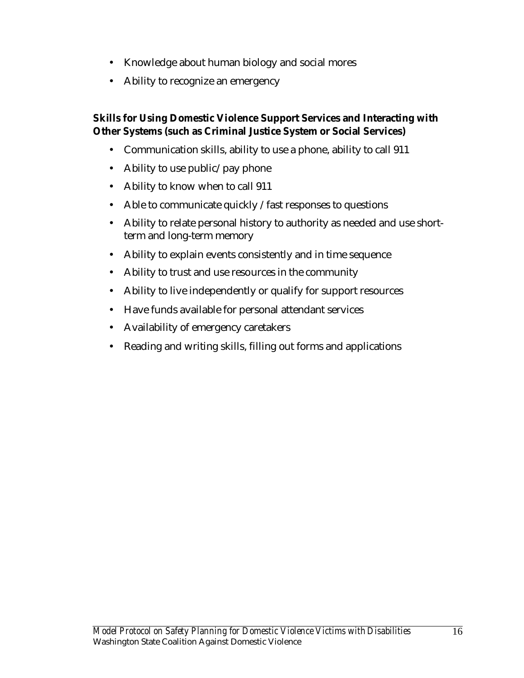- Knowledge about human biology and social mores
- Ability to recognize an emergency

#### **Skills for Using Domestic Violence Support Services and Interacting with Other Systems (such as Criminal Justice System or Social Services)**

- Communication skills, ability to use a phone, ability to call 911
- Ability to use public/pay phone
- Ability to know when to call 911
- Able to communicate quickly / fast responses to questions
- Ability to relate personal history to authority as needed and use shortterm and long-term memory
- Ability to explain events consistently and in time sequence
- Ability to trust and use resources in the community
- Ability to live independently or qualify for support resources
- Have funds available for personal attendant services
- Availability of emergency caretakers
- Reading and writing skills, filling out forms and applications